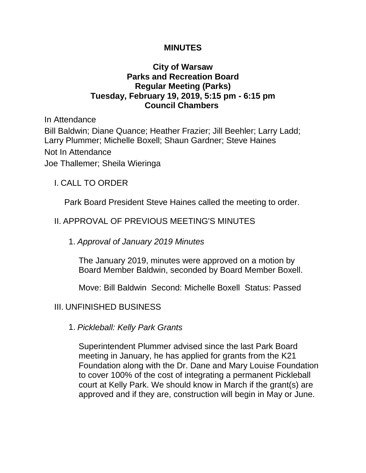### **MINUTES**

## **City of Warsaw Parks and Recreation Board Regular Meeting (Parks) Tuesday, February 19, 2019, 5:15 pm - 6:15 pm Council Chambers**

In Attendance Bill Baldwin; Diane Quance; Heather Frazier; Jill Beehler; Larry Ladd; Larry Plummer; Michelle Boxell; Shaun Gardner; Steve Haines Not In Attendance Joe Thallemer; Sheila Wieringa

# I. CALL TO ORDER

Park Board President Steve Haines called the meeting to order.

# II. APPROVAL OF PREVIOUS MEETING'S MINUTES

## 1. *Approval of January 2019 Minutes*

The January 2019, minutes were approved on a motion by Board Member Baldwin, seconded by Board Member Boxell.

Move: Bill Baldwin Second: Michelle Boxell Status: Passed

## III. UNFINISHED BUSINESS

1. *Pickleball: Kelly Park Grants*

Superintendent Plummer advised since the last Park Board meeting in January, he has applied for grants from the K21 Foundation along with the Dr. Dane and Mary Louise Foundation to cover 100% of the cost of integrating a permanent Pickleball court at Kelly Park. We should know in March if the grant(s) are approved and if they are, construction will begin in May or June.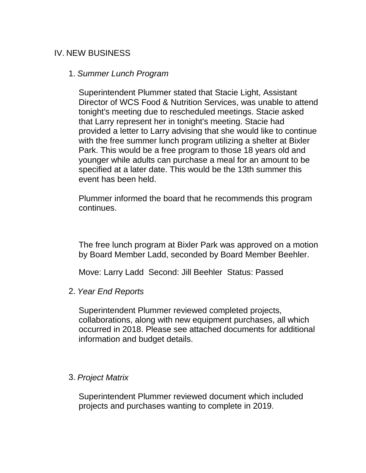# IV. NEW BUSINESS

#### 1. *Summer Lunch Program*

Superintendent Plummer stated that Stacie Light, Assistant Director of WCS Food & Nutrition Services, was unable to attend tonight's meeting due to rescheduled meetings. Stacie asked that Larry represent her in tonight's meeting. Stacie had provided a letter to Larry advising that she would like to continue with the free summer lunch program utilizing a shelter at Bixler Park. This would be a free program to those 18 years old and younger while adults can purchase a meal for an amount to be specified at a later date. This would be the 13th summer this event has been held.

Plummer informed the board that he recommends this program continues.

The free lunch program at Bixler Park was approved on a motion by Board Member Ladd, seconded by Board Member Beehler.

Move: Larry Ladd Second: Jill Beehler Status: Passed

2. *Year End Reports* 

Superintendent Plummer reviewed completed projects, collaborations, along with new equipment purchases, all which occurred in 2018. Please see attached documents for additional information and budget details.

#### 3. *Project Matrix*

Superintendent Plummer reviewed document which included projects and purchases wanting to complete in 2019.